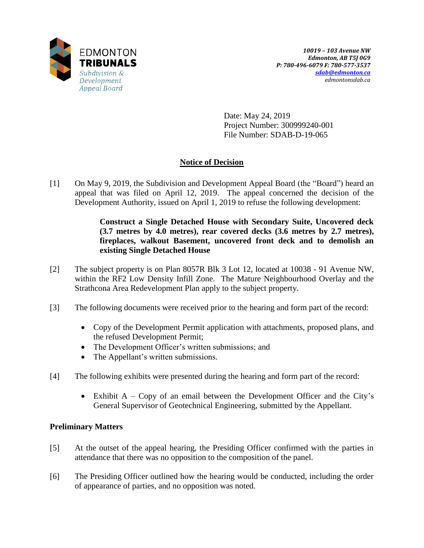

Date: May 24, 2019 Project Number: 300999240-001 File Number: SDAB-D-19-065

# **Notice of Decision**

[1] On May 9, 2019, the Subdivision and Development Appeal Board (the "Board") heard an appeal that was filed on April 12, 2019. The appeal concerned the decision of the Development Authority, issued on April 1, 2019 to refuse the following development:

> **Construct a Single Detached House with Secondary Suite, Uncovered deck (3.7 metres by 4.0 metres), rear covered decks (3.6 metres by 2.7 metres), fireplaces, walkout Basement, uncovered front deck and to demolish an existing Single Detached House**

- [2] The subject property is on Plan 8057R Blk 3 Lot 12, located at 10038 91 Avenue NW, within the RF2 Low Density Infill Zone. The Mature Neighbourhood Overlay and the Strathcona Area Redevelopment Plan apply to the subject property.
- [3] The following documents were received prior to the hearing and form part of the record:
	- Copy of the Development Permit application with attachments, proposed plans, and the refused Development Permit;
	- The Development Officer's written submissions; and
	- The Appellant's written submissions.
- [4] The following exhibits were presented during the hearing and form part of the record:
	- Exhibit  $A Copy$  of an email between the Development Officer and the City's General Supervisor of Geotechnical Engineering, submitted by the Appellant.

## **Preliminary Matters**

- [5] At the outset of the appeal hearing, the Presiding Officer confirmed with the parties in attendance that there was no opposition to the composition of the panel.
- [6] The Presiding Officer outlined how the hearing would be conducted, including the order of appearance of parties, and no opposition was noted.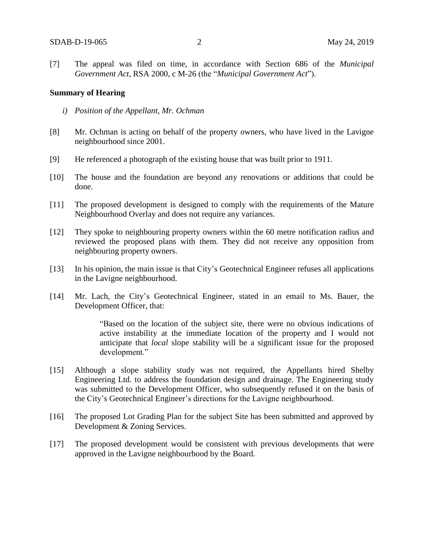[7] The appeal was filed on time, in accordance with Section 686 of the *Municipal Government Act*, RSA 2000, c M-26 (the "*Municipal Government Act*").

#### **Summary of Hearing**

- *i) Position of the Appellant, Mr. Ochman*
- [8] Mr. Ochman is acting on behalf of the property owners, who have lived in the Lavigne neighbourhood since 2001.
- [9] He referenced a photograph of the existing house that was built prior to 1911.
- [10] The house and the foundation are beyond any renovations or additions that could be done.
- [11] The proposed development is designed to comply with the requirements of the Mature Neighbourhood Overlay and does not require any variances.
- [12] They spoke to neighbouring property owners within the 60 metre notification radius and reviewed the proposed plans with them. They did not receive any opposition from neighbouring property owners.
- [13] In his opinion, the main issue is that City's Geotechnical Engineer refuses all applications in the Lavigne neighbourhood.
- [14] Mr. Lach, the City's Geotechnical Engineer, stated in an email to Ms. Bauer, the Development Officer, that:

"Based on the location of the subject site, there were no obvious indications of active instability at the immediate location of the property and I would not anticipate that *local* slope stability will be a significant issue for the proposed development."

- [15] Although a slope stability study was not required, the Appellants hired Shelby Engineering Ltd. to address the foundation design and drainage. The Engineering study was submitted to the Development Officer, who subsequently refused it on the basis of the City's Geotechnical Engineer's directions for the Lavigne neighbourhood.
- [16] The proposed Lot Grading Plan for the subject Site has been submitted and approved by Development & Zoning Services.
- [17] The proposed development would be consistent with previous developments that were approved in the Lavigne neighbourhood by the Board.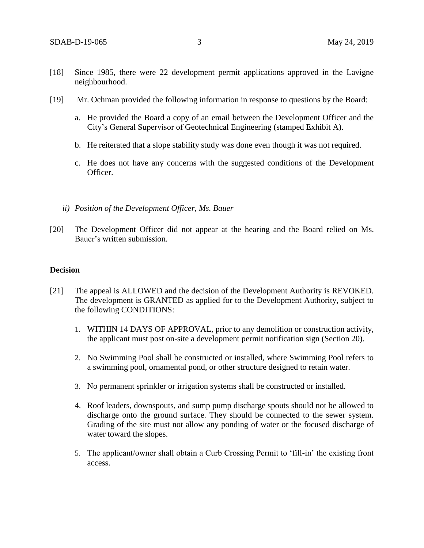- [18] Since 1985, there were 22 development permit applications approved in the Lavigne neighbourhood.
- [19] Mr. Ochman provided the following information in response to questions by the Board:
	- a. He provided the Board a copy of an email between the Development Officer and the City's General Supervisor of Geotechnical Engineering (stamped Exhibit A).
	- b. He reiterated that a slope stability study was done even though it was not required.
	- c. He does not have any concerns with the suggested conditions of the Development Officer.
	- *ii) Position of the Development Officer, Ms. Bauer*
- [20] The Development Officer did not appear at the hearing and the Board relied on Ms. Bauer's written submission.

#### **Decision**

- [21] The appeal is ALLOWED and the decision of the Development Authority is REVOKED. The development is GRANTED as applied for to the Development Authority, subject to the following CONDITIONS:
	- 1. WITHIN 14 DAYS OF APPROVAL, prior to any demolition or construction activity, the applicant must post on-site a development permit notification sign (Section 20).
	- 2. No Swimming Pool shall be constructed or installed, where Swimming Pool refers to a swimming pool, ornamental pond, or other structure designed to retain water.
	- 3. No permanent sprinkler or irrigation systems shall be constructed or installed.
	- 4. Roof leaders, downspouts, and sump pump discharge spouts should not be allowed to discharge onto the ground surface. They should be connected to the sewer system. Grading of the site must not allow any ponding of water or the focused discharge of water toward the slopes.
	- 5. The applicant/owner shall obtain a Curb Crossing Permit to 'fill-in' the existing front access.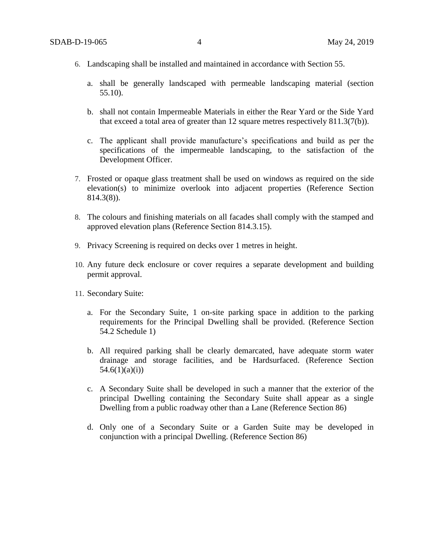- 6. Landscaping shall be installed and maintained in accordance with Section 55.
	- a. shall be generally landscaped with permeable landscaping material (section 55.10).
	- b. shall not contain Impermeable Materials in either the Rear Yard or the Side Yard that exceed a total area of greater than 12 square metres respectively 811.3(7(b)).
	- c. The applicant shall provide manufacture's specifications and build as per the specifications of the impermeable landscaping, to the satisfaction of the Development Officer.
- 7. Frosted or opaque glass treatment shall be used on windows as required on the side elevation(s) to minimize overlook into adjacent properties (Reference Section 814.3(8)).
- 8. The colours and finishing materials on all facades shall comply with the stamped and approved elevation plans (Reference Section 814.3.15).
- 9. Privacy Screening is required on decks over 1 metres in height.
- 10. Any future deck enclosure or cover requires a separate development and building permit approval.
- 11. Secondary Suite:
	- a. For the Secondary Suite, 1 on-site parking space in addition to the parking requirements for the Principal Dwelling shall be provided. (Reference Section 54.2 Schedule 1)
	- b. All required parking shall be clearly demarcated, have adequate storm water drainage and storage facilities, and be Hardsurfaced. (Reference Section  $54.6(1)(a)(i)$
	- c. A Secondary Suite shall be developed in such a manner that the exterior of the principal Dwelling containing the Secondary Suite shall appear as a single Dwelling from a public roadway other than a Lane (Reference Section 86)
	- d. Only one of a Secondary Suite or a Garden Suite may be developed in conjunction with a principal Dwelling. (Reference Section 86)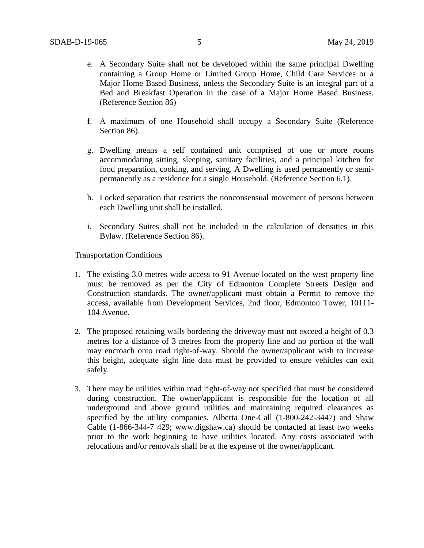- e. A Secondary Suite shall not be developed within the same principal Dwelling containing a Group Home or Limited Group Home, Child Care Services or a Major Home Based Business, unless the Secondary Suite is an integral part of a Bed and Breakfast Operation in the case of a Major Home Based Business. (Reference Section 86)
- f. A maximum of one Household shall occupy a Secondary Suite (Reference Section 86).
- g. Dwelling means a self contained unit comprised of one or more rooms accommodating sitting, sleeping, sanitary facilities, and a principal kitchen for food preparation, cooking, and serving. A Dwelling is used permanently or semipermanently as a residence for a single Household. (Reference Section 6.1).
- h. Locked separation that restricts the nonconsensual movement of persons between each Dwelling unit shall be installed.
- i. Secondary Suites shall not be included in the calculation of densities in this Bylaw. (Reference Section 86).

Transportation Conditions

- 1. The existing 3.0 metres wide access to 91 Avenue located on the west property line must be removed as per the City of Edmonton Complete Streets Design and Construction standards. The owner/applicant must obtain a Permit to remove the access, available from Development Services, 2nd floor, Edmonton Tower, 10111- 104 Avenue.
- 2. The proposed retaining walls bordering the driveway must not exceed a height of 0.3 metres for a distance of 3 metres from the property line and no portion of the wall may encroach onto road right-of-way. Should the owner/applicant wish to increase this height, adequate sight line data must be provided to ensure vehicles can exit safely.
- 3. There may be utilities within road right-of-way not specified that must be considered during construction. The owner/applicant is responsible for the location of all underground and above ground utilities and maintaining required clearances as specified by the utility companies. Alberta One-Call (1-800-242-3447) and Shaw Cable (1-866-344-7 429; www.digshaw.ca) should be contacted at least two weeks prior to the work beginning to have utilities located. Any costs associated with relocations and/or removals shall be at the expense of the owner/applicant.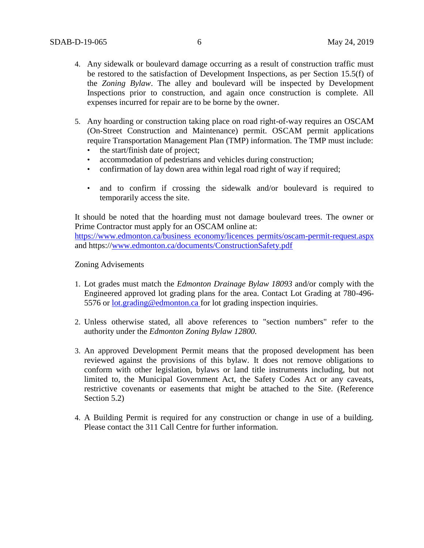- 4. Any sidewalk or boulevard damage occurring as a result of construction traffic must be restored to the satisfaction of Development Inspections, as per Section 15.5(f) of the *Zoning Bylaw*. The alley and boulevard will be inspected by Development Inspections prior to construction, and again once construction is complete. All expenses incurred for repair are to be borne by the owner.
- 5. Any hoarding or construction taking place on road right-of-way requires an OSCAM (On-Street Construction and Maintenance) permit. OSCAM permit applications require Transportation Management Plan (TMP) information. The TMP must include:
	- the start/finish date of project;
	- accommodation of pedestrians and vehicles during construction;
	- confirmation of lay down area within legal road right of way if required;
	- and to confirm if crossing the sidewalk and/or boulevard is required to temporarily access the site.

It should be noted that the hoarding must not damage boulevard trees. The owner or Prime Contractor must apply for an OSCAM online at: [https://www.edmonton.ca/business economy/licences permits/oscam-permit-request.aspx](https://www.edmonton.ca/business%20economy/licences%20permits/oscam-permit-request.aspx) and https:/[/www.edmonton.ca/documents/ConstructionSafety.pdf](http://www.edmonton.ca/documents/ConstructionSafety.pdf)

#### Zoning Advisements

- 1. Lot grades must match the *Edmonton Drainage Bylaw 18093* and/or comply with the Engineered approved lot grading plans for the area. Contact Lot Grading at 780-496- 5576 or [lot.grading@edmonton.ca f](mailto:lot.grading@edmonton.ca)or lot grading inspection inquiries.
- 2. Unless otherwise stated, all above references to "section numbers" refer to the authority under the *Edmonton Zoning Bylaw 12800.*
- 3. An approved Development Permit means that the proposed development has been reviewed against the provisions of this bylaw. It does not remove obligations to conform with other legislation, bylaws or land title instruments including, but not limited to, the Municipal Government Act, the Safety Codes Act or any caveats, restrictive covenants or easements that might be attached to the Site. (Reference Section 5.2)
- 4. A Building Permit is required for any construction or change in use of a building. Please contact the 311 Call Centre for further information.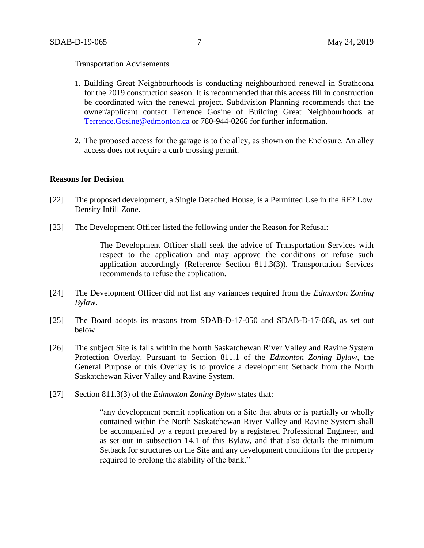#### Transportation Advisements

- 1. Building Great Neighbourhoods is conducting neighbourhood renewal in Strathcona for the 2019 construction season. It is recommended that this access fill in construction be coordinated with the renewal project. Subdivision Planning recommends that the owner/applicant contact Terrence Gosine of Building Great Neighbourhoods a[t](mailto:Terrence.Gosine@edmonton.ca) [Terrence.Gosine@edmonton.ca o](mailto:Terrence.Gosine@edmonton.ca)r 780-944-0266 for further information.
- 2. The proposed access for the garage is to the alley, as shown on the Enclosure. An alley access does not require a curb crossing permit.

#### **Reasons for Decision**

- [22] The proposed development, a Single Detached House, is a Permitted Use in the RF2 Low Density Infill Zone.
- [23] The Development Officer listed the following under the Reason for Refusal:

The Development Officer shall seek the advice of Transportation Services with respect to the application and may approve the conditions or refuse such application accordingly (Reference Section 811.3(3)). Transportation Services recommends to refuse the application.

- [24] The Development Officer did not list any variances required from the *Edmonton Zoning Bylaw*.
- [25] The Board adopts its reasons from SDAB-D-17-050 and SDAB-D-17-088, as set out below.
- [26] The subject Site is falls within the North Saskatchewan River Valley and Ravine System Protection Overlay. Pursuant to Section 811.1 of the *Edmonton Zoning Bylaw*, the General Purpose of this Overlay is to provide a development Setback from the North Saskatchewan River Valley and Ravine System.
- [27] Section 811.3(3) of the *Edmonton Zoning Bylaw* states that:

"any development permit application on a Site that abuts or is partially or wholly contained within the North Saskatchewan River Valley and Ravine System shall be accompanied by a report prepared by a registered Professional Engineer, and as set out in subsection 14.1 of this Bylaw, and that also details the minimum Setback for structures on the Site and any development conditions for the property required to prolong the stability of the bank."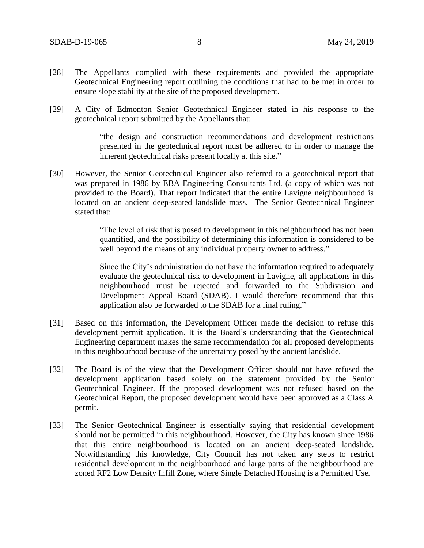- [28] The Appellants complied with these requirements and provided the appropriate Geotechnical Engineering report outlining the conditions that had to be met in order to ensure slope stability at the site of the proposed development.
- [29] A City of Edmonton Senior Geotechnical Engineer stated in his response to the geotechnical report submitted by the Appellants that:

"the design and construction recommendations and development restrictions presented in the geotechnical report must be adhered to in order to manage the inherent geotechnical risks present locally at this site."

[30] However, the Senior Geotechnical Engineer also referred to a geotechnical report that was prepared in 1986 by EBA Engineering Consultants Ltd. (a copy of which was not provided to the Board). That report indicated that the entire Lavigne neighbourhood is located on an ancient deep-seated landslide mass. The Senior Geotechnical Engineer stated that:

> "The level of risk that is posed to development in this neighbourhood has not been quantified, and the possibility of determining this information is considered to be well beyond the means of any individual property owner to address."

> Since the City's administration do not have the information required to adequately evaluate the geotechnical risk to development in Lavigne, all applications in this neighbourhood must be rejected and forwarded to the Subdivision and Development Appeal Board (SDAB). I would therefore recommend that this application also be forwarded to the SDAB for a final ruling."

- [31] Based on this information, the Development Officer made the decision to refuse this development permit application. It is the Board's understanding that the Geotechnical Engineering department makes the same recommendation for all proposed developments in this neighbourhood because of the uncertainty posed by the ancient landslide.
- [32] The Board is of the view that the Development Officer should not have refused the development application based solely on the statement provided by the Senior Geotechnical Engineer. If the proposed development was not refused based on the Geotechnical Report, the proposed development would have been approved as a Class A permit.
- [33] The Senior Geotechnical Engineer is essentially saying that residential development should not be permitted in this neighbourhood. However, the City has known since 1986 that this entire neighbourhood is located on an ancient deep-seated landslide. Notwithstanding this knowledge, City Council has not taken any steps to restrict residential development in the neighbourhood and large parts of the neighbourhood are zoned RF2 Low Density Infill Zone, where Single Detached Housing is a Permitted Use.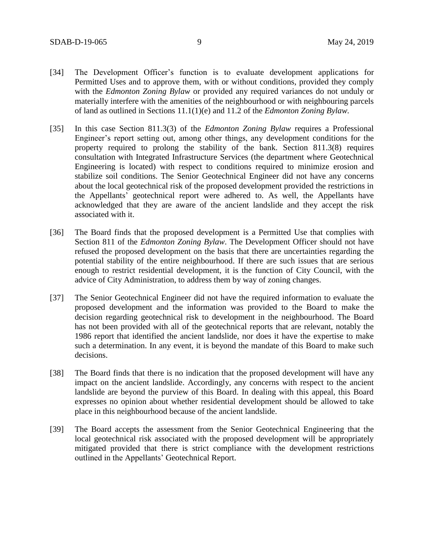- [34] The Development Officer's function is to evaluate development applications for Permitted Uses and to approve them, with or without conditions, provided they comply with the *Edmonton Zoning Bylaw* or provided any required variances do not unduly or materially interfere with the amenities of the neighbourhood or with neighbouring parcels of land as outlined in Sections 11.1(1)(e) and 11.2 of the *Edmonton Zoning Bylaw.*
- [35] In this case Section 811.3(3) of the *Edmonton Zoning Bylaw* requires a Professional Engineer's report setting out, among other things, any development conditions for the property required to prolong the stability of the bank. Section 811.3(8) requires consultation with Integrated Infrastructure Services (the department where Geotechnical Engineering is located) with respect to conditions required to minimize erosion and stabilize soil conditions. The Senior Geotechnical Engineer did not have any concerns about the local geotechnical risk of the proposed development provided the restrictions in the Appellants' geotechnical report were adhered to. As well, the Appellants have acknowledged that they are aware of the ancient landslide and they accept the risk associated with it.
- [36] The Board finds that the proposed development is a Permitted Use that complies with Section 811 of the *Edmonton Zoning Bylaw*. The Development Officer should not have refused the proposed development on the basis that there are uncertainties regarding the potential stability of the entire neighbourhood. If there are such issues that are serious enough to restrict residential development, it is the function of City Council, with the advice of City Administration, to address them by way of zoning changes.
- [37] The Senior Geotechnical Engineer did not have the required information to evaluate the proposed development and the information was provided to the Board to make the decision regarding geotechnical risk to development in the neighbourhood. The Board has not been provided with all of the geotechnical reports that are relevant, notably the 1986 report that identified the ancient landslide, nor does it have the expertise to make such a determination. In any event, it is beyond the mandate of this Board to make such decisions.
- [38] The Board finds that there is no indication that the proposed development will have any impact on the ancient landslide. Accordingly, any concerns with respect to the ancient landslide are beyond the purview of this Board. In dealing with this appeal, this Board expresses no opinion about whether residential development should be allowed to take place in this neighbourhood because of the ancient landslide.
- [39] The Board accepts the assessment from the Senior Geotechnical Engineering that the local geotechnical risk associated with the proposed development will be appropriately mitigated provided that there is strict compliance with the development restrictions outlined in the Appellants' Geotechnical Report.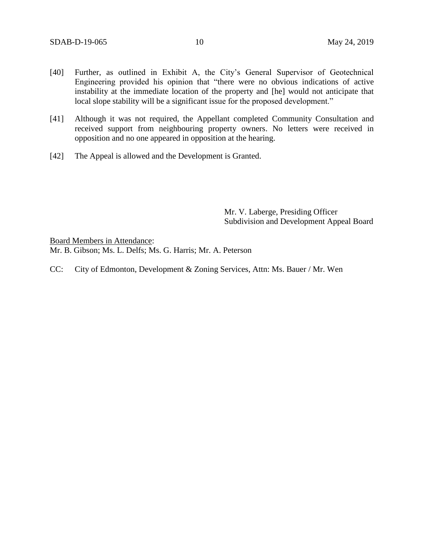- [40] Further, as outlined in Exhibit A, the City's General Supervisor of Geotechnical Engineering provided his opinion that "there were no obvious indications of active instability at the immediate location of the property and [he] would not anticipate that local slope stability will be a significant issue for the proposed development."
- [41] Although it was not required, the Appellant completed Community Consultation and received support from neighbouring property owners. No letters were received in opposition and no one appeared in opposition at the hearing.
- [42] The Appeal is allowed and the Development is Granted.

Mr. V. Laberge, Presiding Officer Subdivision and Development Appeal Board

Board Members in Attendance: Mr. B. Gibson; Ms. L. Delfs; Ms. G. Harris; Mr. A. Peterson

CC: City of Edmonton, Development & Zoning Services, Attn: Ms. Bauer / Mr. Wen